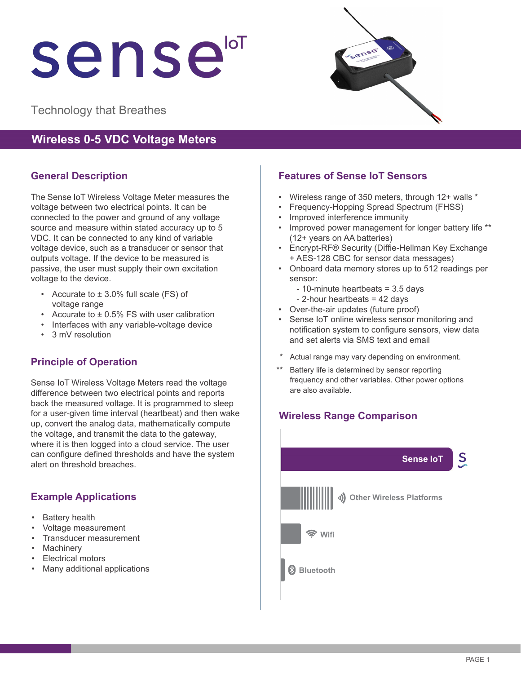# sensei

Technology that Breathes

# **Wireless 0-5 VDC Voltage Meters**

# **General Description**

The Sense IoT Wireless Voltage Meter measures the voltage between two electrical points. It can be connected to the power and ground of any voltage source and measure within stated accuracy up to 5 VDC. It can be connected to any kind of variable voltage device, such as a transducer or sensor that outputs voltage. If the device to be measured is passive, the user must supply their own excitation voltage to the device.

- Accurate to ± 3.0% full scale (FS) of voltage range
- Accurate to  $\pm$  0.5% FS with user calibration
- Interfaces with any variable-voltage device
- 3 mV resolution

# **Principle of Operation**

Sense IoT Wireless Voltage Meters read the voltage difference between two electrical points and reports back the measured voltage. It is programmed to sleep for a user-given time interval (heartbeat) and then wake up, convert the analog data, mathematically compute the voltage, and transmit the data to the gateway, where it is then logged into a cloud service. The user can configure defined thresholds and have the system alert on threshold breaches.

# **Example Applications**

- **Battery health**
- Voltage measurement
- Transducer measurement
- **Machinery**
- Electrical motors
- Many additional applications



# **Features of Sense IoT Sensors**

- Wireless range of 350 meters, through 12+ walls \*
- Frequency-Hopping Spread Spectrum (FHSS)
- Improved interference immunity
- Improved power management for longer battery life \*\* (12+ years on AA batteries)
- Encrypt-RF® Security (Diffie-Hellman Key Exchange + AES-128 CBC for sensor data messages)
- Onboard data memory stores up to 512 readings per sensor:
	- 10-minute heartbeats = 3.5 days
	- 2-hour heartbeats = 42 days
- Over-the-air updates (future proof)
- Sense IoT online wireless sensor monitoring and notification system to configure sensors, view data and set alerts via SMS text and email
- Actual range may vary depending on environment.
- Battery life is determined by sensor reporting frequency and other variables. Other power options are also available.

# **Wireless Range Comparison**

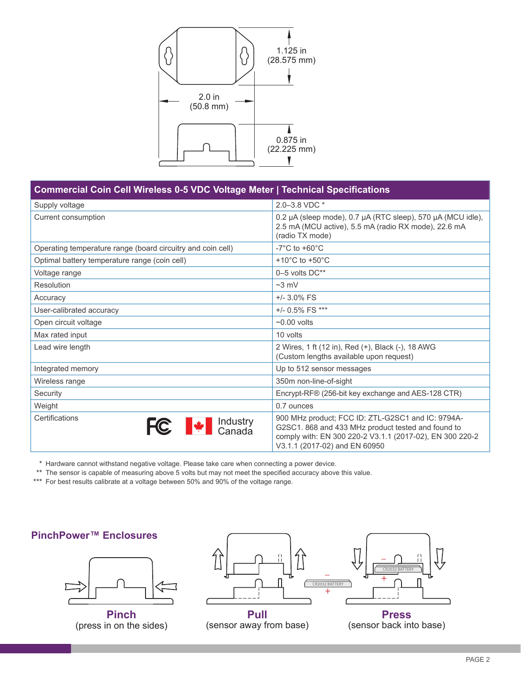

#### **Commercial Coin Cell Wireless 0-5 VDC Voltage Meter | Technical Specifications**

| Supply voltage                                              | 2.0-3.8 VDC *                                                                                                                                                                                        |  |
|-------------------------------------------------------------|------------------------------------------------------------------------------------------------------------------------------------------------------------------------------------------------------|--|
| Current consumption                                         | 0.2 µA (sleep mode), 0.7 µA (RTC sleep), 570 µA (MCU idle),<br>2.5 mA (MCU active), 5.5 mA (radio RX mode), 22.6 mA<br>(radio TX mode)                                                               |  |
| Operating temperature range (board circuitry and coin cell) | $-7^{\circ}$ C to $+60^{\circ}$ C                                                                                                                                                                    |  |
| Optimal battery temperature range (coin cell)               | +10 $^{\circ}$ C to +50 $^{\circ}$ C                                                                                                                                                                 |  |
| Voltage range                                               | $0-5$ volts $DC**$                                                                                                                                                                                   |  |
| Resolution                                                  | $~23$ mV                                                                                                                                                                                             |  |
| Accuracy                                                    | $+/- 3.0\%$ FS                                                                                                                                                                                       |  |
| User-calibrated accuracy                                    | +/- 0.5% FS ***                                                                                                                                                                                      |  |
| Open circuit voltage                                        | $\sim$ 0.00 volts                                                                                                                                                                                    |  |
| Max rated input                                             | 10 volts                                                                                                                                                                                             |  |
| Lead wire length                                            | 2 Wires, 1 ft (12 in), Red (+), Black (-), 18 AWG<br>(Custom lengths available upon request)                                                                                                         |  |
| Integrated memory                                           | Up to 512 sensor messages                                                                                                                                                                            |  |
| Wireless range                                              | 350m non-line-of-sight                                                                                                                                                                               |  |
| Security                                                    | Encrypt-RF® (256-bit key exchange and AES-128 CTR)                                                                                                                                                   |  |
| Weight                                                      | 0.7 ounces                                                                                                                                                                                           |  |
| Certifications<br><b>FC</b> $\bullet$ Industry              | 900 MHz product; FCC ID: ZTL-G2SC1 and IC: 9794A-<br>G2SC1. 868 and 433 MHz product tested and found to<br>comply with: EN 300 220-2 V3.1.1 (2017-02), EN 300 220-2<br>V3.1.1 (2017-02) and EN 60950 |  |

\* Hardware cannot withstand negative voltage. Please take care when connecting a power device.

\*\* The sensor is capable of measuring above 5 volts but may not meet the specified accuracy above this value.

\*\*\* For best results calibrate at a voltage between 50% and 90% of the voltage range.

# **PinchPower™ Enclosures**



**Pinch** (press in on the sides)



(sensor away from base)

(sensor back into base)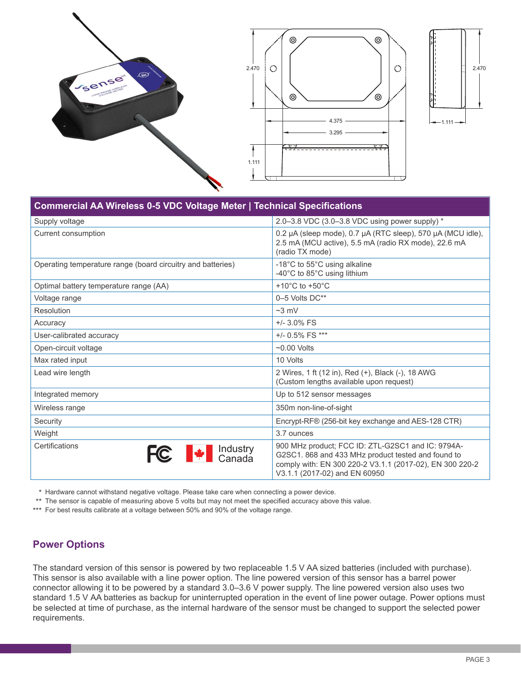

| Commercial AA Wireless 0-5 VDC Voltage Meter   Technical Specifications                                                                                                                                                                                                                                                                                                                                                                        |                                                                                                                                                                                                      |  |
|------------------------------------------------------------------------------------------------------------------------------------------------------------------------------------------------------------------------------------------------------------------------------------------------------------------------------------------------------------------------------------------------------------------------------------------------|------------------------------------------------------------------------------------------------------------------------------------------------------------------------------------------------------|--|
| Supply voltage                                                                                                                                                                                                                                                                                                                                                                                                                                 | 2.0-3.8 VDC (3.0-3.8 VDC using power supply) *                                                                                                                                                       |  |
| Current consumption                                                                                                                                                                                                                                                                                                                                                                                                                            | 0.2 µA (sleep mode), 0.7 µA (RTC sleep), 570 µA (MCU idle),<br>2.5 mA (MCU active), 5.5 mA (radio RX mode), 22.6 mA<br>(radio TX mode)                                                               |  |
| Operating temperature range (board circuitry and batteries)                                                                                                                                                                                                                                                                                                                                                                                    | -18°C to 55°C using alkaline<br>-40°C to 85°C using lithium                                                                                                                                          |  |
| Optimal battery temperature range (AA)                                                                                                                                                                                                                                                                                                                                                                                                         | +10 $^{\circ}$ C to +50 $^{\circ}$ C                                                                                                                                                                 |  |
| Voltage range                                                                                                                                                                                                                                                                                                                                                                                                                                  | 0-5 Volts DC**                                                                                                                                                                                       |  |
| Resolution                                                                                                                                                                                                                                                                                                                                                                                                                                     | $~23$ mV                                                                                                                                                                                             |  |
| Accuracy                                                                                                                                                                                                                                                                                                                                                                                                                                       | $+/-$ 3.0% FS                                                                                                                                                                                        |  |
| User-calibrated accuracy                                                                                                                                                                                                                                                                                                                                                                                                                       | $+/- 0.5\%$ FS ***                                                                                                                                                                                   |  |
| Open-circuit voltage                                                                                                                                                                                                                                                                                                                                                                                                                           | $~0.00$ Volts                                                                                                                                                                                        |  |
| Max rated input                                                                                                                                                                                                                                                                                                                                                                                                                                | 10 Volts                                                                                                                                                                                             |  |
| Lead wire length                                                                                                                                                                                                                                                                                                                                                                                                                               | 2 Wires, 1 ft (12 in), Red (+), Black (-), 18 AWG<br>(Custom lengths available upon request)                                                                                                         |  |
| Integrated memory                                                                                                                                                                                                                                                                                                                                                                                                                              | Up to 512 sensor messages                                                                                                                                                                            |  |
| Wireless range                                                                                                                                                                                                                                                                                                                                                                                                                                 | 350m non-line-of-sight                                                                                                                                                                               |  |
| Security                                                                                                                                                                                                                                                                                                                                                                                                                                       | Encrypt-RF® (256-bit key exchange and AES-128 CTR)                                                                                                                                                   |  |
| Weight                                                                                                                                                                                                                                                                                                                                                                                                                                         | 3.7 ounces                                                                                                                                                                                           |  |
| Certifications<br>$\begin{array}{ c c }\n\hline\n\end{array}$ $\begin{array}{ c c }\n\hline\n\end{array}$ $\begin{array}{ c c }\n\hline\n\end{array}$ $\begin{array}{ c c }\n\hline\n\end{array}$ $\begin{array}{ c c }\n\hline\n\end{array}$ $\begin{array}{ c }\n\hline\n\end{array}$ $\begin{array}{ c }\n\hline\n\end{array}$ $\begin{array}{ c }\n\hline\n\end{array}$ $\begin{array}{ c }\n\hline\n\end{array}$ $\begin{array}{ c }\n\h$ | 900 MHz product; FCC ID: ZTL-G2SC1 and IC: 9794A-<br>G2SC1. 868 and 433 MHz product tested and found to<br>comply with: EN 300 220-2 V3.1.1 (2017-02), EN 300 220-2<br>V3.1.1 (2017-02) and EN 60950 |  |

\* Hardware cannot withstand negative voltage. Please take care when connecting a power device.

\*\* The sensor is capable of measuring above 5 volts but may not meet the specified accuracy above this value.

\*\*\* For best results calibrate at a voltage between 50% and 90% of the voltage range.

#### **Power Options**

The standard version of this sensor is powered by two replaceable 1.5 V AA sized batteries (included with purchase). This sensor is also available with a line power option. The line powered version of this sensor has a barrel power connector allowing it to be powered by a standard 3.0–3.6 V power supply. The line powered version also uses two standard 1.5 V AA batteries as backup for uninterrupted operation in the event of line power outage. Power options must be selected at time of purchase, as the internal hardware of the sensor must be changed to support the selected power requirements.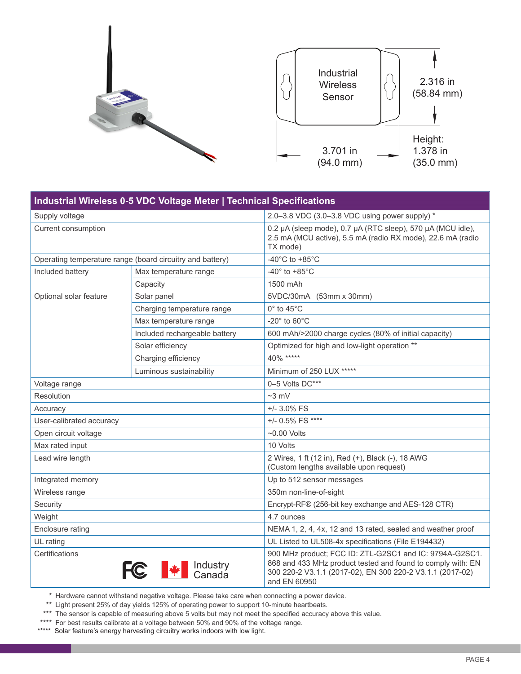

| Industrial Wireless 0-5 VDC Voltage Meter   Technical Specifications |                               |                                                                                                                                                                                                     |  |
|----------------------------------------------------------------------|-------------------------------|-----------------------------------------------------------------------------------------------------------------------------------------------------------------------------------------------------|--|
| Supply voltage                                                       |                               | 2.0-3.8 VDC (3.0-3.8 VDC using power supply) *                                                                                                                                                      |  |
| Current consumption                                                  |                               | 0.2 µA (sleep mode), 0.7 µA (RTC sleep), 570 µA (MCU idle),<br>2.5 mA (MCU active), 5.5 mA (radio RX mode), 22.6 mA (radio<br>TX mode)                                                              |  |
| Operating temperature range (board circuitry and battery)            |                               | -40 $^{\circ}$ C to +85 $^{\circ}$ C                                                                                                                                                                |  |
| Included battery                                                     | Max temperature range         | $-40^\circ$ to $+85^\circ$ C                                                                                                                                                                        |  |
|                                                                      | Capacity                      | 1500 mAh                                                                                                                                                                                            |  |
| Optional solar feature                                               | Solar panel                   | 5VDC/30mA (53mm x 30mm)                                                                                                                                                                             |  |
|                                                                      | Charging temperature range    | $0^\circ$ to 45 $^\circ$ C                                                                                                                                                                          |  |
|                                                                      | Max temperature range         | -20 $^{\circ}$ to 60 $^{\circ}$ C                                                                                                                                                                   |  |
|                                                                      | Included rechargeable battery | 600 mAh/>2000 charge cycles (80% of initial capacity)                                                                                                                                               |  |
|                                                                      | Solar efficiency              | Optimized for high and low-light operation **                                                                                                                                                       |  |
|                                                                      | Charging efficiency           | 40% *****                                                                                                                                                                                           |  |
|                                                                      | Luminous sustainability       | Minimum of 250 LUX *****                                                                                                                                                                            |  |
| Voltage range                                                        |                               | 0-5 Volts DC***                                                                                                                                                                                     |  |
| Resolution                                                           |                               | $~23$ mV                                                                                                                                                                                            |  |
| Accuracy                                                             |                               | $+/- 3.0\%$ FS                                                                                                                                                                                      |  |
| User-calibrated accuracy                                             |                               | +/- 0.5% FS ****                                                                                                                                                                                    |  |
| Open circuit voltage                                                 |                               | $~10.00$ Volts                                                                                                                                                                                      |  |
| Max rated input                                                      |                               | 10 Volts                                                                                                                                                                                            |  |
| Lead wire length                                                     |                               | 2 Wires, 1 ft (12 in), Red (+), Black (-), 18 AWG<br>(Custom lengths available upon request)                                                                                                        |  |
| Integrated memory                                                    |                               | Up to 512 sensor messages                                                                                                                                                                           |  |
| Wireless range                                                       |                               | 350m non-line-of-sight                                                                                                                                                                              |  |
| Security                                                             |                               | Encrypt-RF® (256-bit key exchange and AES-128 CTR)                                                                                                                                                  |  |
| Weight                                                               |                               | 4.7 ounces                                                                                                                                                                                          |  |
| Enclosure rating                                                     |                               | NEMA 1, 2, 4, 4x, 12 and 13 rated, sealed and weather proof                                                                                                                                         |  |
| UL rating                                                            |                               | UL Listed to UL508-4x specifications (File E194432)                                                                                                                                                 |  |
| Certifications                                                       | Industry<br>Canada            | 900 MHz product; FCC ID: ZTL-G2SC1 and IC: 9794A-G2SC1.<br>868 and 433 MHz product tested and found to comply with: EN<br>300 220-2 V3.1.1 (2017-02), EN 300 220-2 V3.1.1 (2017-02)<br>and EN 60950 |  |

\* Hardware cannot withstand negative voltage. Please take care when connecting a power device.

\*\* Light present 25% of day yields 125% of operating power to support 10-minute heartbeats.

\*\*\* The sensor is capable of measuring above 5 volts but may not meet the specified accuracy above this value.

- \*\*\*\* For best results calibrate at a voltage between 50% and 90% of the voltage range.
- \*\*\*\*\* Solar feature's energy harvesting circuitry works indoors with low light.